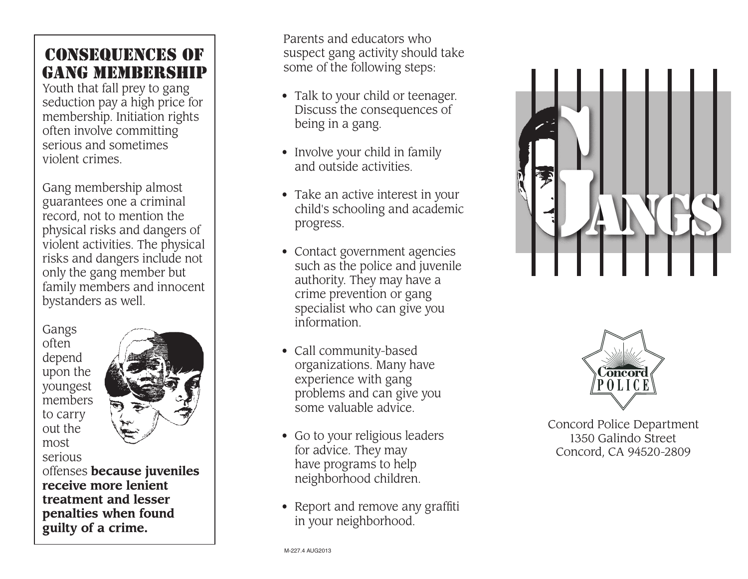## Consequenc e s of GANG MEMBERSHIP

Youth that fall prey to gang seduction pay a high price for membership. Initiation rights often involve committing serious and sometimes violent crimes.

Gang membership almost guarantees one a criminal record, not to mention the physical risks and dangers of violent activities. The physical risks and dangers include not only the gang member but family members and innocent bystanders as well.

Gangs often depend upon the youngest members to carry out the most serious



offenses **because juveniles receive more lenient treatment and lesser penalties when found guilty of a crime.**

Parents and educators who suspect gang activity should take some of the following steps:

- Talk to your child or teenager. Discuss the consequences of being in a gang.
- Involve your child in family and outside activities.
- Take an active interest in your child's schooling and academic progress.
- Contact government agencies such as the police and juvenile authority. They may have a crime prevention or gang specialist who can give you information.
- Call community-based organizations. Many have experience with gang problems and can give you some valuable advice.
- Go to your religious leaders for advice. They may have programs to help neighborhood children.
- Report and remove any graffiti in your neighborhood.





Concord Police Department 1350 Galindo Street